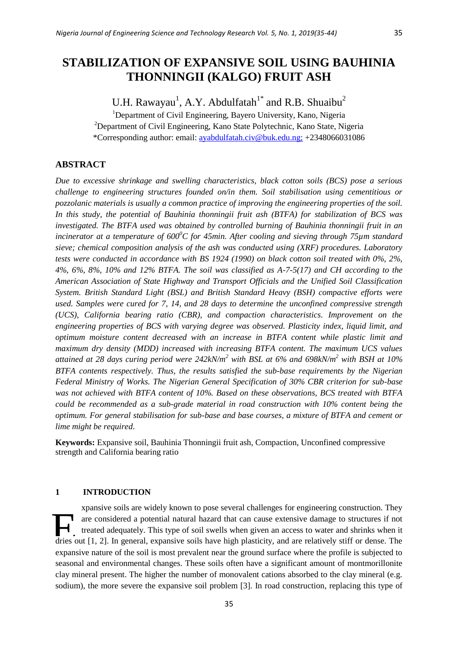# **STABILIZATION OF EXPANSIVE SOIL USING BAUHINIA THONNINGII (KALGO) FRUIT ASH**

U.H. Rawayau<sup>1</sup>, A.Y. Abdulfatah<sup>1\*</sup> and R.B. Shuaibu<sup>2</sup>

<sup>1</sup>Department of Civil Engineering, Bayero University, Kano, Nigeria <sup>2</sup>Department of Civil Engineering, Kano State Polytechnic, Kano State, Nigeria \*Corresponding author: email: [ayabdulfatah.civ@buk.edu.ng;](mailto:ayabdulfatah.civ@buk.edu.ng) +2348066031086

## **ABSTRACT**

*Due to excessive shrinkage and swelling characteristics, black cotton soils (BCS) pose a serious challenge to engineering structures founded on/in them. Soil stabilisation using cementitious or pozzolanic materials is usually a common practice of improving the engineering properties of the soil. In this study, the potential of Bauhinia thonningii fruit ash (BTFA) for stabilization of BCS was investigated. The BTFA used was obtained by controlled burning of Bauhinia thonningii fruit in an incinerator at a temperature of 600<sup>0</sup>C for 45min. After cooling and sieving through 75µm standard sieve; chemical composition analysis of the ash was conducted using (XRF) procedures. Laboratory tests were conducted in accordance with BS 1924 (1990) on black cotton soil treated with 0%, 2%, 4%, 6%, 8%, 10% and 12% BTFA. The soil was classified as A-7-5(17) and CH according to the American Association of State Highway and Transport Officials and the Unified Soil Classification System. British Standard Light (BSL) and British Standard Heavy (BSH) compactive efforts were used. Samples were cured for 7, 14, and 28 days to determine the unconfined compressive strength (UCS), California bearing ratio (CBR), and compaction characteristics. Improvement on the engineering properties of BCS with varying degree was observed. Plasticity index, liquid limit, and optimum moisture content decreased with an increase in BTFA content while plastic limit and maximum dry density (MDD) increased with increasing BTFA content. The maximum UCS values attained at 28 days curing period were 242kN/m<sup>2</sup> with BSL at 6% and 698kN/m<sup>2</sup> with BSH at 10% BTFA contents respectively. Thus, the results satisfied the sub-base requirements by the Nigerian Federal Ministry of Works. The Nigerian General Specification of 30% CBR criterion for sub-base was not achieved with BTFA content of 10%. Based on these observations, BCS treated with BTFA could be recommended as a sub-grade material in road construction with 10% content being the optimum. For general stabilisation for sub-base and base courses, a mixture of BTFA and cement or lime might be required*.

**Keywords:** Expansive soil, Bauhinia Thonningii fruit ash, Compaction, Unconfined compressive strength and California bearing ratio

## **1 INTRODUCTION**

xpansive soils are widely known to pose several challenges for engineering construction. They are considered a potential natural hazard that can cause extensive damage to structures if not treated adequately. This type of soil swells when given an access to water and shrinks when it The are considered a potential natural hazard that can cause extensive damage to structures if not treated adequately. This type of soil swells when given an access to water and shrinks when it dries out [1, 2]. In general expansive nature of the soil is most prevalent near the ground surface where the profile is subjected to seasonal and environmental changes. These soils often have a significant amount of montmorillonite clay mineral present. The higher the number of monovalent cations absorbed to the clay mineral (e.g. sodium), the more severe the expansive soil problem [3]. In road construction, replacing this type of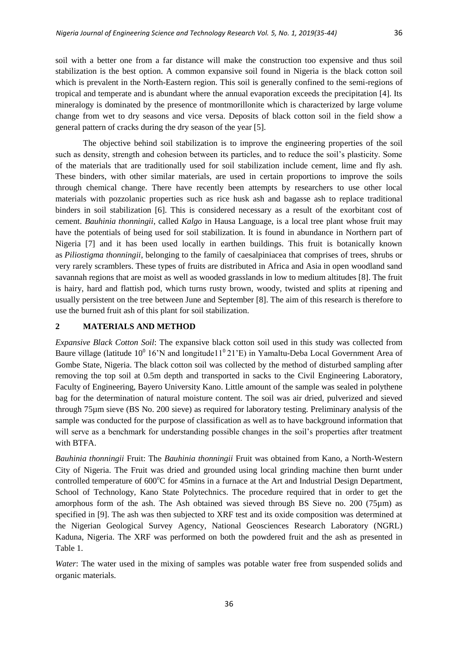soil with a better one from a far distance will make the construction too expensive and thus soil stabilization is the best option. A common expansive soil found in Nigeria is the black cotton soil which is prevalent in the North-Eastern region. This soil is generally confined to the semi-regions of tropical and temperate and is abundant where the annual evaporation exceeds the precipitation [4]. Its mineralogy is dominated by the presence of montmorillonite which is characterized by large volume change from wet to dry seasons and vice versa. Deposits of black cotton soil in the field show a general pattern of cracks during the dry season of the year [5].

The objective behind soil stabilization is to improve the engineering properties of the soil such as density, strength and cohesion between its particles, and to reduce the soil's plasticity. Some of the materials that are traditionally used for soil stabilization include cement, lime and fly ash. These binders, with other similar materials, are used in certain proportions to improve the soils through chemical change. There have recently been attempts by researchers to use other local materials with pozzolanic properties such as rice husk ash and bagasse ash to replace traditional binders in soil stabilization [6]. This is considered necessary as a result of the exorbitant cost of cement. *Bauhinia thonningii*, called *Kalgo* in Hausa Language, is a local tree plant whose fruit may have the potentials of being used for soil stabilization. It is found in abundance in Northern part of Nigeria [7] and it has been used locally in earthen buildings. This fruit is botanically known as *Piliostigma thonningii*, belonging to the family of caesalpiniacea that comprises of trees, shrubs or very rarely scramblers. These types of fruits are distributed in Africa and Asia in open woodland sand savannah regions that are moist as well as wooded grasslands in low to medium altitudes [8]. The fruit is hairy, hard and flattish pod, which turns rusty brown, woody, twisted and splits at ripening and usually persistent on the tree between June and September [8]. The aim of this research is therefore to use the burned fruit ash of this plant for soil stabilization.

## **2 MATERIALS AND METHOD**

*Expansive Black Cotton Soil*: The expansive black cotton soil used in this study was collected from Baure village (latitude  $10^0$  16'N and longitude11<sup>0</sup>21'E) in Yamaltu-Deba Local Government Area of Gombe State, Nigeria. The black cotton soil was collected by the method of disturbed sampling after removing the top soil at 0.5m depth and transported in sacks to the Civil Engineering Laboratory, Faculty of Engineering, Bayero University Kano. Little amount of the sample was sealed in polythene bag for the determination of natural moisture content. The soil was air dried, pulverized and sieved through 75µm sieve (BS No. 200 sieve) as required for laboratory testing. Preliminary analysis of the sample was conducted for the purpose of classification as well as to have background information that will serve as a benchmark for understanding possible changes in the soil's properties after treatment with BTFA.

*Bauhinia thonningii* Fruit: The *Bauhinia thonningii* Fruit was obtained from Kano, a North-Western City of Nigeria. The Fruit was dried and grounded using local grinding machine then burnt under controlled temperature of 600°C for 45mins in a furnace at the Art and Industrial Design Department, School of Technology, Kano State Polytechnics. The procedure required that in order to get the amorphous form of the ash. The Ash obtained was sieved through BS Sieve no. 200 (75µm) as specified in [9]. The ash was then subjected to XRF test and its oxide composition was determined at the Nigerian Geological Survey Agency, National Geosciences Research Laboratory (NGRL) Kaduna, Nigeria. The XRF was performed on both the powdered fruit and the ash as presented in Table 1.

*Water*: The water used in the mixing of samples was potable water free from suspended solids and organic materials.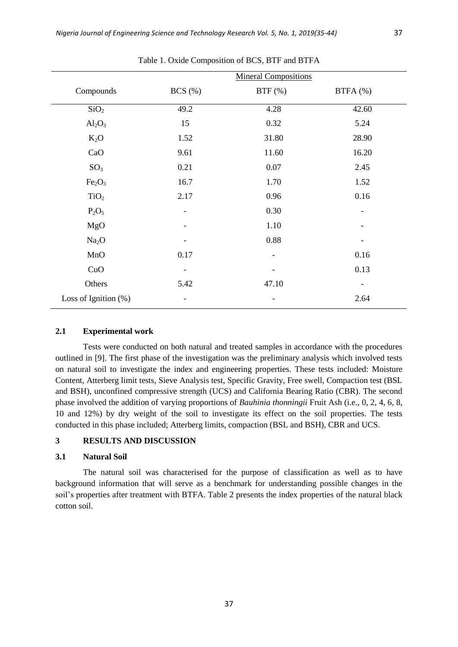|                                |                          | <b>Mineral Compositions</b> |                          |
|--------------------------------|--------------------------|-----------------------------|--------------------------|
| Compounds                      | $BCS$ $(\%)$             | $BTF$ (%)                   | BTFA (%)                 |
| SiO <sub>2</sub>               | 49.2                     | 4.28                        | 42.60                    |
| $Al_2O_3$                      | 15                       | 0.32                        | 5.24                     |
| $K_2O$                         | 1.52                     | 31.80                       | 28.90                    |
| CaO                            | 9.61                     | 11.60                       | 16.20                    |
| SO <sub>3</sub>                | 0.21                     | 0.07                        | 2.45                     |
| Fe <sub>2</sub> O <sub>3</sub> | 16.7                     | 1.70                        | 1.52                     |
| TiO <sub>2</sub>               | 2.17                     | 0.96                        | 0.16                     |
| $P_2O_5$                       |                          | 0.30                        |                          |
| MgO                            |                          | 1.10                        |                          |
| Na <sub>2</sub> O              |                          | 0.88                        |                          |
| MnO                            | 0.17                     | ۰                           | 0.16                     |
| CuO                            | $\overline{\phantom{a}}$ |                             | 0.13                     |
| Others                         | 5.42                     | 47.10                       | $\overline{\phantom{a}}$ |
| Loss of Ignition $(\%)$        | $\overline{\phantom{a}}$ | -                           | 2.64                     |

Table 1. Oxide Composition of BCS, BTF and BTFA

## **2.1 Experimental work**

Tests were conducted on both natural and treated samples in accordance with the procedures outlined in [9]. The first phase of the investigation was the preliminary analysis which involved tests on natural soil to investigate the index and engineering properties. These tests included: Moisture Content, Atterberg limit tests, Sieve Analysis test, Specific Gravity, Free swell, Compaction test (BSL and BSH), unconfined compressive strength (UCS) and California Bearing Ratio (CBR). The second phase involved the addition of varying proportions of *Bauhinia thonningii* Fruit Ash (i.e., 0, 2, 4, 6, 8, 10 and 12%) by dry weight of the soil to investigate its effect on the soil properties. The tests conducted in this phase included; Atterberg limits, compaction (BSL and BSH), CBR and UCS.

## **3 RESULTS AND DISCUSSION**

#### **3.1 Natural Soil**

The natural soil was characterised for the purpose of classification as well as to have background information that will serve as a benchmark for understanding possible changes in the soil's properties after treatment with BTFA. Table 2 presents the index properties of the natural black cotton soil.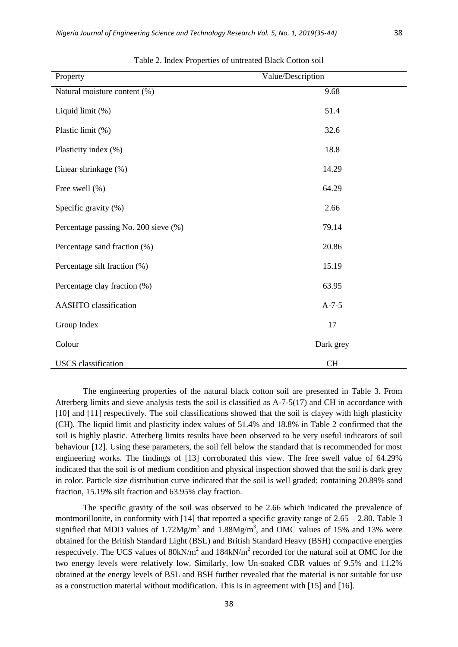|  | ۰.<br>w | × |
|--|---------|---|
|  |         |   |

| Property                             | Value/Description |
|--------------------------------------|-------------------|
| Natural moisture content (%)         | 9.68              |
| Liquid limit (%)                     | 51.4              |
| Plastic limit (%)                    | 32.6              |
| Plasticity index (%)                 | 18.8              |
| Linear shrinkage (%)                 | 14.29             |
| Free swell (%)                       | 64.29             |
| Specific gravity (%)                 | 2.66              |
| Percentage passing No. 200 sieve (%) | 79.14             |
| Percentage sand fraction (%)         | 20.86             |
| Percentage silt fraction (%)         | 15.19             |
| Percentage clay fraction (%)         | 63.95             |
| AASHTO classification                | $A-7-5$           |
| Group Index                          | 17                |
| Colour                               | Dark grey         |
| <b>USCS</b> classification           | <b>CH</b>         |

Table 2. Index Properties of untreated Black Cotton soil

The engineering properties of the natural black cotton soil are presented in Table 3. From Atterberg limits and sieve analysis tests the soil is classified as A-7-5(17) and CH in accordance with [10] and [11] respectively. The soil classifications showed that the soil is clayey with high plasticity (CH). The liquid limit and plasticity index values of 51.4% and 18.8% in Table 2 confirmed that the soil is highly plastic. Atterberg limits results have been observed to be very useful indicators of soil behaviour [12]. Using these parameters, the soil fell below the standard that is recommended for most engineering works. The findings of [13] corroborated this view. The free swell value of 64.29% indicated that the soil is of medium condition and physical inspection showed that the soil is dark grey in color. Particle size distribution curve indicated that the soil is well graded; containing 20.89% sand fraction, 15.19% silt fraction and 63.95% clay fraction.

The specific gravity of the soil was observed to be 2.66 which indicated the prevalence of montmorillonite, in conformity with [14] that reported a specific gravity range of  $2.65 - 2.80$ . Table 3 signified that MDD values of  $1.72Mg/m<sup>3</sup>$  and  $1.88Mg/m<sup>3</sup>$ , and OMC values of 15% and 13% were obtained for the British Standard Light (BSL) and British Standard Heavy (BSH) compactive energies respectively. The UCS values of  $80kN/m^2$  and  $184kN/m^2$  recorded for the natural soil at OMC for the two energy levels were relatively low. Similarly, low Un-soaked CBR values of 9.5% and 11.2% obtained at the energy levels of BSL and BSH further revealed that the material is not suitable for use as a construction material without modification. This is in agreement with [15] and [16].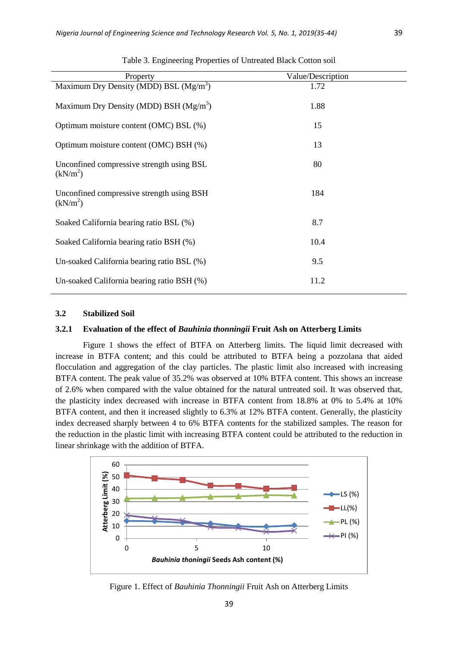| Property                                                          | Value/Description |
|-------------------------------------------------------------------|-------------------|
| Maximum Dry Density (MDD) BSL $(Mg/m3)$                           | 1.72              |
| Maximum Dry Density (MDD) BSH $(Mg/m3)$                           | 1.88              |
| Optimum moisture content (OMC) BSL (%)                            | 15                |
| Optimum moisture content (OMC) BSH (%)                            | 13                |
| Unconfined compressive strength using BSL<br>(kN/m <sup>2</sup> ) | 80                |
| Unconfined compressive strength using BSH<br>(kN/m <sup>2</sup> ) | 184               |
| Soaked California bearing ratio BSL (%)                           | 8.7               |
| Soaked California bearing ratio BSH (%)                           | 10.4              |
| Un-soaked California bearing ratio BSL (%)                        | 9.5               |
| Un-soaked California bearing ratio BSH (%)                        | 11.2              |

Table 3. Engineering Properties of Untreated Black Cotton soil

#### **3.2 Stabilized Soil**

#### **3.2.1 Evaluation of the effect of** *Bauhinia thonningii* **Fruit Ash on Atterberg Limits**

Figure 1 shows the effect of BTFA on Atterberg limits. The liquid limit decreased with increase in BTFA content; and this could be attributed to BTFA being a pozzolana that aided flocculation and aggregation of the clay particles. The plastic limit also increased with increasing BTFA content. The peak value of 35.2% was observed at 10% BTFA content. This shows an increase of 2.6% when compared with the value obtained for the natural untreated soil. It was observed that, the plasticity index decreased with increase in BTFA content from 18.8% at 0% to 5.4% at 10% BTFA content, and then it increased slightly to 6.3% at 12% BTFA content. Generally, the plasticity index decreased sharply between 4 to 6% BTFA contents for the stabilized samples. The reason for the reduction in the plastic limit with increasing BTFA content could be attributed to the reduction in linear shrinkage with the addition of BTFA.



Figure 1. Effect of *Bauhinia Thonningii* Fruit Ash on Atterberg Limits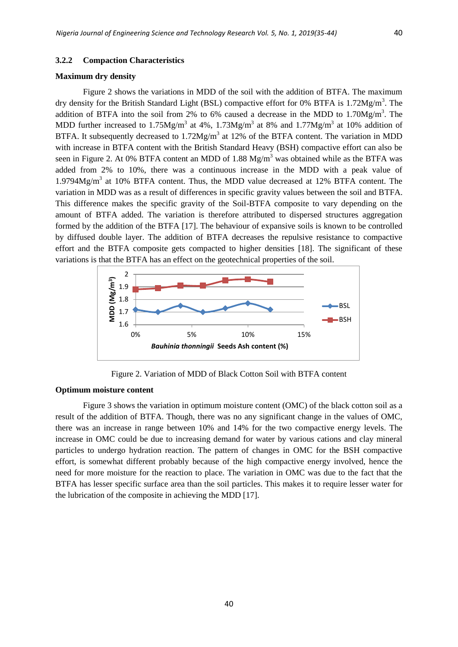#### **3.2.2 Compaction Characteristics**

#### **Maximum dry density**

Figure 2 shows the variations in MDD of the soil with the addition of BTFA. The maximum dry density for the British Standard Light (BSL) compactive effort for 0% BTFA is 1.72Mg/m<sup>3</sup>. The addition of BTFA into the soil from 2% to 6% caused a decrease in the MDD to  $1.70$ Mg/m<sup>3</sup>. The MDD further increased to 1.75Mg/m<sup>3</sup> at 4%, 1.73Mg/m<sup>3</sup> at 8% and 1.77Mg/m<sup>3</sup> at 10% addition of BTFA. It subsequently decreased to  $1.72Mg/m<sup>3</sup>$  at 12% of the BTFA content. The variation in MDD with increase in BTFA content with the British Standard Heavy (BSH) compactive effort can also be seen in Figure 2. At 0% BTFA content an MDD of  $1.88 \text{ Mg/m}^3$  was obtained while as the BTFA was added from 2% to 10%, there was a continuous increase in the MDD with a peak value of 1.9794Mg/m<sup>3</sup> at 10% BTFA content. Thus, the MDD value decreased at 12% BTFA content. The variation in MDD was as a result of differences in specific gravity values between the soil and BTFA. This difference makes the specific gravity of the Soil-BTFA composite to vary depending on the amount of BTFA added. The variation is therefore attributed to dispersed structures aggregation formed by the addition of the BTFA [17]. The behaviour of expansive soils is known to be controlled by diffused double layer. The addition of BTFA decreases the repulsive resistance to compactive effort and the BTFA composite gets compacted to higher densities [18]. The significant of these variations is that the BTFA has an effect on the geotechnical properties of the soil.



Figure 2. Variation of MDD of Black Cotton Soil with BTFA content

## **Optimum moisture content**

Figure 3 shows the variation in optimum moisture content (OMC) of the black cotton soil as a result of the addition of BTFA. Though, there was no any significant change in the values of OMC, there was an increase in range between 10% and 14% for the two compactive energy levels. The increase in OMC could be due to increasing demand for water by various cations and clay mineral particles to undergo hydration reaction. The pattern of changes in OMC for the BSH compactive effort, is somewhat different probably because of the high compactive energy involved, hence the need for more moisture for the reaction to place. The variation in OMC was due to the fact that the BTFA has lesser specific surface area than the soil particles. This makes it to require lesser water for the lubrication of the composite in achieving the MDD [17].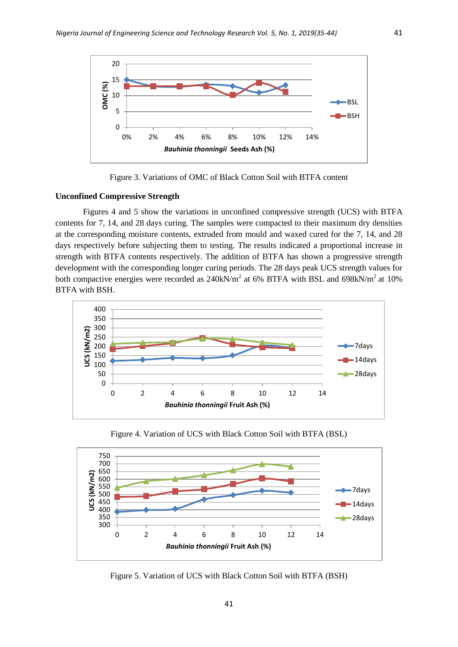

Figure 3. Variations of OMC of Black Cotton Soil with BTFA content

#### **Unconfined Compressive Strength**

Figures 4 and 5 show the variations in unconfined compressive strength (UCS) with BTFA contents for 7, 14, and 28 days curing. The samples were compacted to their maximum dry densities at the corresponding moisture contents, extruded from mould and waxed cured for the 7, 14, and 28 days respectively before subjecting them to testing. The results indicated a proportional increase in strength with BTFA contents respectively. The addition of BTFA has shown a progressive strength development with the corresponding longer curing periods. The 28 days peak UCS strength values for both compactive energies were recorded as  $240 \text{kN/m}^2$  at 6% BTFA with BSL and 698kN/m<sup>2</sup> at 10% BTFA with BSH.



Figure 4. Variation of UCS with Black Cotton Soil with BTFA (BSL)



Figure 5. Variation of UCS with Black Cotton Soil with BTFA (BSH)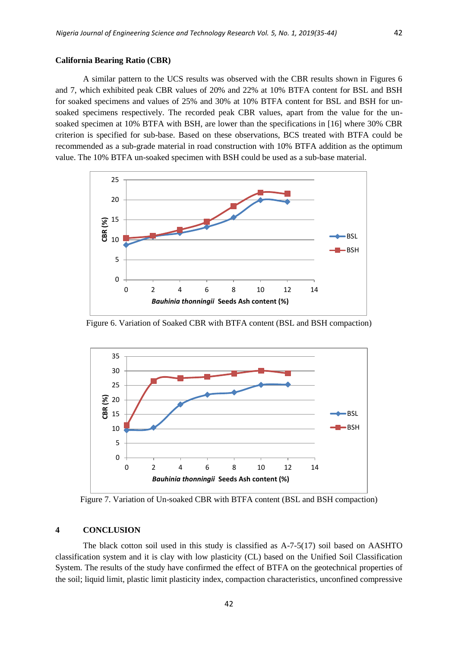#### **California Bearing Ratio (CBR)**

A similar pattern to the UCS results was observed with the CBR results shown in Figures 6 and 7, which exhibited peak CBR values of 20% and 22% at 10% BTFA content for BSL and BSH for soaked specimens and values of 25% and 30% at 10% BTFA content for BSL and BSH for unsoaked specimens respectively. The recorded peak CBR values, apart from the value for the unsoaked specimen at 10% BTFA with BSH, are lower than the specifications in [16] where 30% CBR criterion is specified for sub-base. Based on these observations, BCS treated with BTFA could be recommended as a sub-grade material in road construction with 10% BTFA addition as the optimum value. The 10% BTFA un-soaked specimen with BSH could be used as a sub-base material.



Figure 6. Variation of Soaked CBR with BTFA content (BSL and BSH compaction)



Figure 7. Variation of Un-soaked CBR with BTFA content (BSL and BSH compaction)

#### **4 CONCLUSION**

The black cotton soil used in this study is classified as A-7-5(17) soil based on AASHTO classification system and it is clay with low plasticity (CL) based on the Unified Soil Classification System. The results of the study have confirmed the effect of BTFA on the geotechnical properties of the soil; liquid limit, plastic limit plasticity index, compaction characteristics, unconfined compressive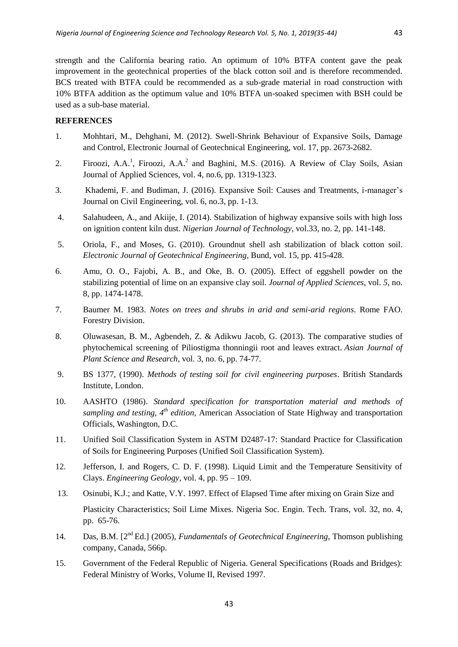strength and the California bearing ratio. An optimum of 10% BTFA content gave the peak improvement in the geotechnical properties of the black cotton soil and is therefore recommended. BCS treated with BTFA could be recommended as a sub-grade material in road construction with 10% BTFA addition as the optimum value and 10% BTFA un-soaked specimen with BSH could be used as a sub-base material.

### **REFERENCES**

- 1. Mohhtari, M., Dehghani, M. (2012). Swell-Shrink Behaviour of Expansive Soils, Damage and Control, Electronic Journal of Geotechnical Engineering, vol. 17, pp. 2673-2682.
- 2. Firoozi, A.A.<sup>1</sup>, Firoozi, A.A.<sup>2</sup> and Baghini, M.S. (2016). A Review of Clay Soils, Asian Journal of Applied Sciences, vol. 4, no.6, pp. 1319-1323.
- 3. Khademi, F. and Budiman, J. (2016). Expansive Soil: Causes and Treatments, i-manager's Journal on Civil Engineering, vol. 6, no.3, pp. 1-13.
- 4. Salahudeen, A., and Akiije, I. (2014). Stabilization of highway expansive soils with high loss on ignition content kiln dust. *Nigerian Journal of Technology*, vol.33, no. 2, pp. 141-148.
- 5. Oriola, F., and Moses, G. (2010). Groundnut shell ash stabilization of black cotton soil. *Electronic Journal of Geotechnical Engineering*, Bund, vol. 15, pp. 415-428.
- 6. Amu, O. O., Fajobi, A. B., and Oke, B. O. (2005). Effect of eggshell powder on the stabilizing potential of lime on an expansive clay soil. *Journal of Applied Sciences*, vol. *5*, no. 8, pp. 1474-1478.
- 7. Baumer M. 1983. *Notes on trees and shrubs in arid and semi-arid regions*. Rome FAO. Forestry Division.
- 8. Oluwasesan, B. M., Agbendeh, Z. & Adikwu Jacob, G. (2013). The comparative studies of phytochemical screening of Piliostigma thonningii root and leaves extract. *Asian Journal of Plant Science and Research*, vol. 3, no. 6, pp. 74-77.
- 9. BS 1377, (1990). *Methods of testing soil for civil engineering purposes*. British Standards Institute, London.
- 10. AASHTO (1986). *Standard specification for transportation material and methods of sampling and testing, 4th edition,* American Association of State Highway and transportation Officials, Washington, D.C.
- 11. Unified Soil Classification System in ASTM D2487-17: Standard Practice for Classification of Soils for Engineering Purposes (Unified Soil Classification System).
- 12. Jefferson, I. and Rogers, C. D. F. (1998). Liquid Limit and the Temperature Sensitivity of Clays. *Engineering Geology*, vol. 4, pp. 95 – 109.
- 13. Osinubi, K.J.; and Katte, V.Y. 1997. Effect of Elapsed Time after mixing on Grain Size and Plasticity Characteristics; Soil Lime Mixes. Nigeria Soc. Engin. Tech. Trans, vol. 32, no. 4, pp. 65-76.
- 14. Das, B.M. [2nd Ed.] (2005), *Fundamentals of Geotechnical Engineering*, Thomson publishing company, Canada, 566p.
- 15. Government of the Federal Republic of Nigeria. General Specifications (Roads and Bridges): Federal Ministry of Works, Volume II, Revised 1997.